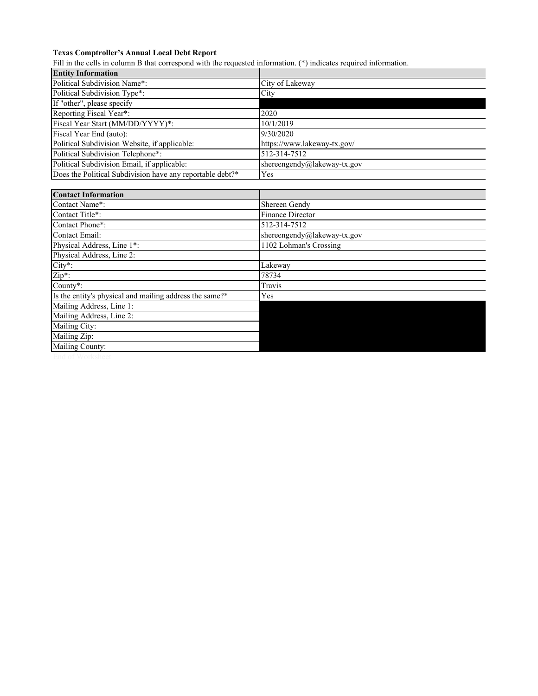## **Texas Comptroller's Annual Local Debt Report**

Fill in the cells in column B that correspond with the requested information. (\*) indicates required information.

| <b>Entity Information</b>                                 |                             |
|-----------------------------------------------------------|-----------------------------|
| Political Subdivision Name*:                              | City of Lakeway             |
| Political Subdivision Type*:                              | City                        |
| If "other", please specify                                |                             |
| Reporting Fiscal Year*:                                   | 2020                        |
| Fiscal Year Start (MM/DD/YYYY)*:                          | 10/1/2019                   |
| Fiscal Year End (auto):                                   | 9/30/2020                   |
| Political Subdivision Website, if applicable:             | https://www.lakeway-tx.gov/ |
| Political Subdivision Telephone*:                         | 512-314-7512                |
| Political Subdivision Email, if applicable:               | shereengendy@lakeway-tx.gov |
| Does the Political Subdivision have any reportable debt?* | Yes                         |
|                                                           |                             |
| <b>Contact Information</b>                                |                             |
| Contact Name*:                                            | Shereen Gendy               |
| Contact Title*:                                           | <b>Finance Director</b>     |
| Contact Phone*:                                           | 512-314-7512                |
| Contact Email:                                            | shereengendy@lakeway-tx.gov |
| Physical Address, Line 1*:                                | 1102 Lohman's Crossing      |
| Physical Address, Line 2:                                 |                             |
| City*:                                                    | Lakeway                     |
| Zip*:                                                     | 78734                       |
| County*:                                                  | Travis                      |
| Is the entity's physical and mailing address the same?*   | Yes                         |
| Mailing Address, Line 1:                                  |                             |
| Mailing Address, Line 2:                                  |                             |
| Mailing City:                                             |                             |
| Mailing Zip:                                              |                             |
| Mailing County:                                           |                             |
|                                                           |                             |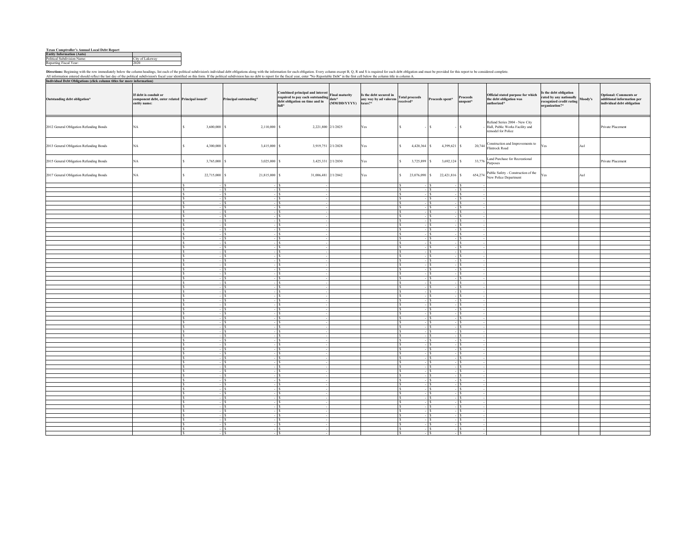| <b>Texas Comptroller's Annual Local Debt Report</b> |                 |
|-----------------------------------------------------|-----------------|
| <b>Entity Information (Auto)</b>                    |                 |
| Political Subdivision Name:                         | City of Lakeway |
| Reporting Fiscal Year:                              | 2020            |

Directions: Beginning with the row immediately below the column headings, list each of the political subdivision's individual debt obligations along with the information for each obligation. Every column except B, Q, R and

**Outstanding debt obligation\* If debt is conduit or component debt, enter related entity name: Principal issued\* Principal outstanding\* Combined principal and interest required to pay each outstanding debt obligation on time and in full\*Final maturity date\* (MM/DD/YYYY) Is the debt secured in any way by ad valorem taxes?\* Total proceeds received\* Proceeds spent\* Proceeds unspent\* Official stated purpose for which the debt obligation was authorized\*Is the debt obligation rated by any nationally recognized credit rating**  $\frac{1}{2}$  **<b>Properties or additional information per individual debt obligation**<br>organization?\* **and in the individual debt obligation** 2012 General Obligation Refunding Bonds NA 3,600,000 | \$ 2,110,000 | \$ 2,221,800 2/1/2025 | Yes Refund Series 2004 - New City Hall, Public Works Facility and remodel for PolicePrivate Placement 2013 General Obligation Refunding Bonds NA 5 4,300,000 \$ 3,415,000 \$ 3,919,751 2/1/2028 Yes \$ 4,420,364 \$ 4,399,621 \$ 20,744 Construction and Improvements to Fles Aa1 Aa1 Construction and Improvements to Flintrock Road 2015 General Obligation Refunding Bonds NA 3, 3,765,000 \$ 3,025,000 \$ 3,425,331 2/1/2030 Yes \$ 3,725,899 \$ 3,692,124 \$ 33,776  $\left| \frac{\text{land}}{\text{process}} \right|$  Private Placement 2017 General Obligation Refunding Bonds NA 22,715,000 \$ 21, \$ \$ 815,000 31,006,481 2/1/2042 Yes \$ 23,076,090 \$ 22,421,816 \$ 654,274 Public Safety - Construction of the New Police Department Yes Aa1  $s \longrightarrow s$  - \$ \$ - \$ - \$ - \$  $s \sim s$  - \$ \$ - \$ - \$ - \$  $s \longrightarrow s$  - \$ \$ - \$ - \$ - \$  $s \sim$   $s$  - \$ \$ - \$ - \$ - \$  $s \sim s$  - \$ \$ - \$ - \$ - \$  $s \sim$   $s$  - \$ \$ - \$ - \$ - \$  $s \sim s$  - \$ \$ - \$ - \$ - \$  $s \longrightarrow s$  - \$ \$ - \$ - \$ - \$  $s \sim s$  - \$ \$ - \$ - \$ - \$  $s \longrightarrow s$  - \$ \$ - \$ - \$ - \$  $s \sim$   $s$  - \$ \$ - \$ - \$ - \$  $s \sim s$  - \$ \$ - \$ - \$ - \$  $s \sim$   $s$  - \$ \$ - \$ - \$ - \$  $s \sim s$  - \$ \$ - \$ - \$ - \$  $s \sim$   $s$  - \$ \$ - \$ - \$ - \$  $s \sim s$  - \$ \$ - \$ - \$ - \$  $s \longrightarrow s$  - \$ \$ - \$ - \$ - \$  $s \sim s$  - \$ \$ - \$ - \$ - \$  $s \longrightarrow s$  - \$ \$ - \$ - \$ - \$  $s \sim$   $s$  - \$ \$ - \$ - \$ - \$  $s \sim s$  - \$ \$ - \$ - \$ - \$  $s \sim$   $s$  - \$ \$ - \$ - \$ - \$  $s \sim s$  - \$ \$ - \$ - \$ - \$  $s \sim$   $s$  - \$ \$ - \$ - \$ - \$  $s \sim s$  - \$ \$ - \$ - \$ - \$  $s \longrightarrow s$  - \$ \$ - \$ - \$ - \$  $s \sim s$  - \$ \$ - \$ - \$ - \$  $s \longrightarrow s$  - \$ \$ - \$ - \$ - \$  $s \sim$   $s$  - \$ \$ - \$ - \$ - \$  $s \sim s$  - \$ \$ - \$ - \$ - \$  $s \sim$   $s$  - \$ \$ - \$ - \$ - \$  $s \sim s$  - \$ \$ - \$ - \$ - \$  $s \longrightarrow s$  - \$ \$ - \$ - \$ - \$  $s \sim s$  - \$ \$ - \$ - \$ - \$  $s \longrightarrow s$  - \$ \$ - \$ - \$ - \$  $s \sim$   $s$  - \$ \$ - \$ - \$ - \$  $s \sim s$  - \$ \$ - \$ - \$ - \$  $s \sim$   $s$  - \$ \$ - \$ - \$ - \$  $s \sim s$  - \$ \$ - \$ - \$ - \$  $s \sim$   $s$  - \$ \$ - \$ - \$ - \$  $s \sim s$  - \$ \$ - \$ - \$ - \$  $s \longrightarrow s$  - \$ \$ - \$ - \$ - \$  $s \sim s$  - \$ \$ - \$ - \$ - \$  $s \longrightarrow s$  - \$ \$ - \$ - \$ - \$  $s \sim$   $s$  - \$ \$ - \$ - \$ - \$  $s \sim s$  - \$ \$ - \$ - \$ - \$  $s \sim$   $s$  - \$ \$ - \$ - \$ - \$  $s \sim s$  - \$ \$ - \$ - \$ - \$  $s \sim$   $s$  - \$ \$ - \$ - \$ - \$  $s \sim s$  - \$ \$ - \$ - \$ - \$  $s \longrightarrow s$  - \$ \$ - \$ - \$ - \$  $s \sim s$  - \$ \$ - \$ - \$ - \$  $s \longrightarrow s$  - \$ \$ - \$ - \$ - \$  $s \sim$   $s$  - \$ \$ - \$ - \$ - \$  $s \sim s$  - \$ \$ - \$ - \$ - \$  $s \sim$   $s$  - \$ \$ - \$ - \$ - \$  $s \sim s$ - \$ \$ - \$ - \$ - \$ -